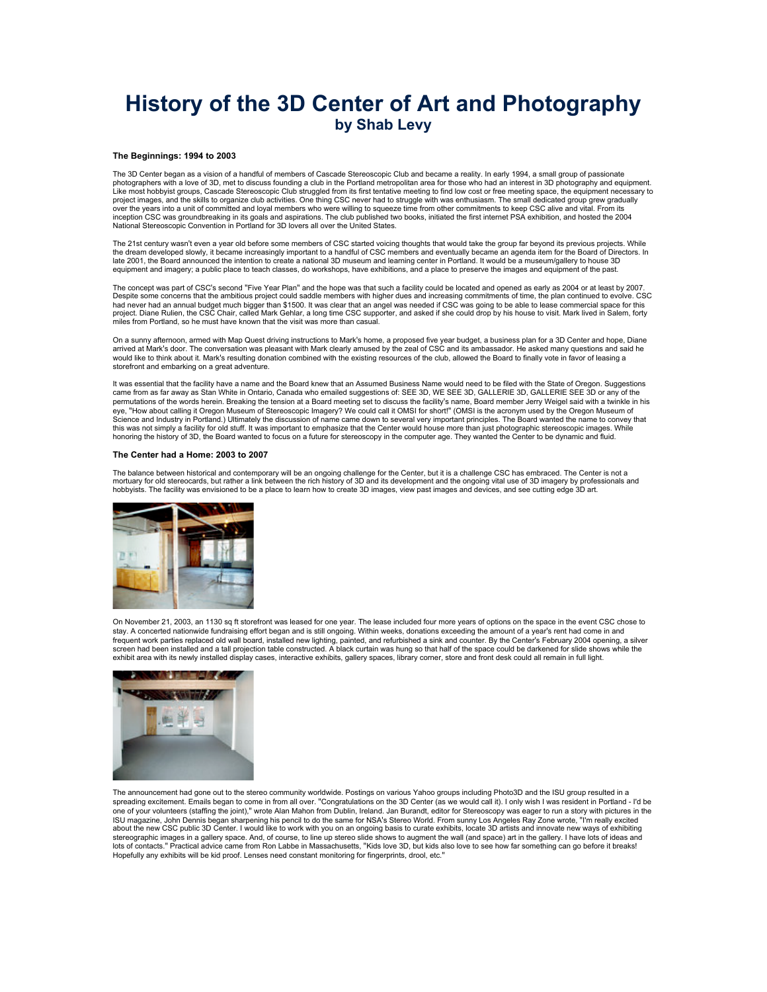## **History of the 3D Center of Art and Photography by Shab Levy**

## **The Beginnings: 1994 to 2003**

The 3D Center began as a vision of a handful of members of Cascade Stereoscopic Club and became a reality. In early 1994, a small group of passionate<br>photographers with a love of 3D, met to discuss founding a club in the P Like most hobbyist groups, Cascade Stereoscopic Club struggled from its first tentative meeting to find low cost or free meeting space, the equipment necessary to project images, and the skills to organize club activities. One thing CSC never had to struggle with was enthusiasm. The small dedicated group grew gradually<br>over the years into a unit of committed and loyal members who we inception CSC was groundbreaking in its goals and aspirations. The club published two books, initiated the first internet PSA exhibition, and hosted the 2004 National Stereoscopic Convention in Portland for 3D lovers all over the United States.

The 21st century wasn't even a year old before some members of CSC started voicing thoughts that would take the group far beyond its previous projects. While the dream developed slowly, it became increasingly important to a handful of CSC members and eventually became an agenda item for the Board of Directors. In<br>Iate 2001, the Board announced the intention to create a national equipment and imagery; a public place to teach classes, do workshops, have exhibitions, and a place to preserve the images and equipment of the past.

The concept was part of CSC's second "Five Year Plan" and the hope was that such a facility could be located and opened as early as 2004 or at least by 2007 Despite some concerns that the ambitious project could saddle members with higher dues and increasing commitments of time, the plan continued to evolve. CSC<br>had never had an annual budget much bigger than \$1500. It was cle project. Diane Rulien, the CSC Chair, called Mark Gehlar, a long time CSC supporter, and asked if she could drop by his house to visit. Mark lived in Salem, forty miles from Portland, so he must have known that the visit was more than casual.

On a sunny afternoon, armed with Map Quest driving instructions to Mark's home, a proposed five year budget, a business plan for a 3D Center and hope, Diane<br>arrived at Mark's door. The conversation was pleasant with Mark c would like to think about it. Mark's resulting donation combined with the existing resources of the club, allowed the Board to finally vote in favor of leasing a storefront and embarking on a great adventure.

It was essential that the facility have a name and the Board knew that an Assumed Business Name would need to be filed with the State of Oregon. Suggestions came from as far away as Stan White in Ontario, Canada who emailed suggestions of: SEE 3D, WE SEE 3D, GALLERIE 3D, GALLERIE SEE 3D or any of the permutations of the words herein. Breaking the tension at a Board meeting set to discuss the facility's name, Board member Jerry Weigel said with a twinkle in his eye, "How about calling it Oregon Museum of Stereoscopic Imagery? We could call it OMSI for short!" (OMSI is the acronym used by the Oregon Museum of Science and Industry in Portland.) Ultimately the discussion of name came down to several very important principles. The Board wanted the name to convey that this was not simply a facility for old stuff. It was important to emphasize that the Center would house more than just photographic stereoscopic images. While<br>honoring the history of 3D, the Board wanted to focus on a futu

## **The Center had a Home: 2003 to 2007**

The balance between historical and contemporary will be an ongoing challenge for the Center, but it is a challenge CSC has embraced. The Center is not a mortuary for old stereocards, but rather a link between the rich history of 3D and its development and the ongoing vital use of 3D imagery by professionals and hobbyists. The facility was envisioned to be a place to learn how to create 3D images, view past images and devices, and see cutting edge 3D art.



On November 21, 2003, an 1130 sq ft storefront was leased for one year. The lease included four more years of options on the space in the event CSC chose to stay. A concerted nationwide fundraising effort began and is still ongoing. Within weeks, donations exceeding the amount of a year's rent had come in and<br>frequent work parties replaced old wall board, installed new lightin screen had been installed and a tall projection table constructed. A black curtain was hung so that half of the space could be darkened for slide shows while the exhibit area with its newly installed display cases, interactive exhibits, gallery spaces, library corner, store and front desk could all remain in full light.



The announcement had gone out to the stereo community worldwide. Postings on various Yahoo groups including Photo3D and the ISU group resulted in a spreading excitement. Emails began to come in from all over. "Congratulations on the 3D Center (as we would call it). I only wish I was resident in Portland - I'd be one of your volunteers (staffing the joint)," wrote Alan Mahon from Dublin, Ireland. Jan Burandt, editor for Stereoscopy was eager to run a story with pictures in the ISU magazine, John Dennis began sharpening his pencil to do the same for NSA's Stereo World. From sunny Los Angeles Ray Zone wrote, "I'm really excited about the new CSC public 3D Center. I would like to work with you on an ongoing basis to curate exhibits, locate 3D artists and innovate new ways of exhibiting<br>stereographic images in a gallery space. And, of course, to li lots of contacts." Practical advice came from Ron Labbe in Massachusetts, "Kids love 3D, but kids also love to see how far something can go before it breaks! Hopefully any exhibits will be kid proof. Lenses need constant monitoring for fingerprints, drool, etc."